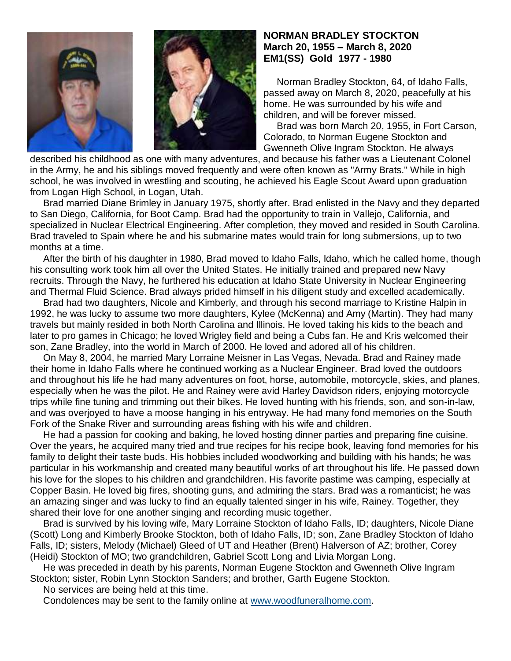



## **NORMAN BRADLEY STOCKTON March 20, 1955 – March 8, 2020 EM1(SS) Gold 1977 - 1980**

 Norman Bradley Stockton, 64, of Idaho Falls, passed away on March 8, 2020, peacefully at his home. He was surrounded by his wife and children, and will be forever missed.

 Brad was born March 20, 1955, in Fort Carson, Colorado, to Norman Eugene Stockton and Gwenneth Olive Ingram Stockton. He always

described his childhood as one with many adventures, and because his father was a Lieutenant Colonel in the Army, he and his siblings moved frequently and were often known as "Army Brats." While in high school, he was involved in wrestling and scouting, he achieved his Eagle Scout Award upon graduation from Logan High School, in Logan, Utah.

 Brad married Diane Brimley in January 1975, shortly after. Brad enlisted in the Navy and they departed to San Diego, California, for Boot Camp. Brad had the opportunity to train in Vallejo, California, and specialized in Nuclear Electrical Engineering. After completion, they moved and resided in South Carolina. Brad traveled to Spain where he and his submarine mates would train for long submersions, up to two months at a time.

 After the birth of his daughter in 1980, Brad moved to Idaho Falls, Idaho, which he called home, though his consulting work took him all over the United States. He initially trained and prepared new Navy recruits. Through the Navy, he furthered his education at Idaho State University in Nuclear Engineering and Thermal Fluid Science. Brad always prided himself in his diligent study and excelled academically.

 Brad had two daughters, Nicole and Kimberly, and through his second marriage to Kristine Halpin in 1992, he was lucky to assume two more daughters, Kylee (McKenna) and Amy (Martin). They had many travels but mainly resided in both North Carolina and Illinois. He loved taking his kids to the beach and later to pro games in Chicago; he loved Wrigley field and being a Cubs fan. He and Kris welcomed their son, Zane Bradley, into the world in March of 2000. He loved and adored all of his children.

 On May 8, 2004, he married Mary Lorraine Meisner in Las Vegas, Nevada. Brad and Rainey made their home in Idaho Falls where he continued working as a Nuclear Engineer. Brad loved the outdoors and throughout his life he had many adventures on foot, horse, automobile, motorcycle, skies, and planes, especially when he was the pilot. He and Rainey were avid Harley Davidson riders, enjoying motorcycle trips while fine tuning and trimming out their bikes. He loved hunting with his friends, son, and son-in-law, and was overjoyed to have a moose hanging in his entryway. He had many fond memories on the South Fork of the Snake River and surrounding areas fishing with his wife and children.

 He had a passion for cooking and baking, he loved hosting dinner parties and preparing fine cuisine. Over the years, he acquired many tried and true recipes for his recipe book, leaving fond memories for his family to delight their taste buds. His hobbies included woodworking and building with his hands; he was particular in his workmanship and created many beautiful works of art throughout his life. He passed down his love for the slopes to his children and grandchildren. His favorite pastime was camping, especially at Copper Basin. He loved big fires, shooting guns, and admiring the stars. Brad was a romanticist; he was an amazing singer and was lucky to find an equally talented singer in his wife, Rainey. Together, they shared their love for one another singing and recording music together.

 Brad is survived by his loving wife, Mary Lorraine Stockton of Idaho Falls, ID; daughters, Nicole Diane (Scott) Long and Kimberly Brooke Stockton, both of Idaho Falls, ID; son, Zane Bradley Stockton of Idaho Falls, ID; sisters, Melody (Michael) Gleed of UT and Heather (Brent) Halverson of AZ; brother, Corey (Heidi) Stockton of MO; two grandchildren, Gabriel Scott Long and Livia Morgan Long.

 He was preceded in death by his parents, Norman Eugene Stockton and Gwenneth Olive Ingram Stockton; sister, Robin Lynn Stockton Sanders; and brother, Garth Eugene Stockton.

No services are being held at this time.

Condolences may be sent to the family online at [www.woodfuneralhome.com.](http://www.woodfuneralhome.com/)